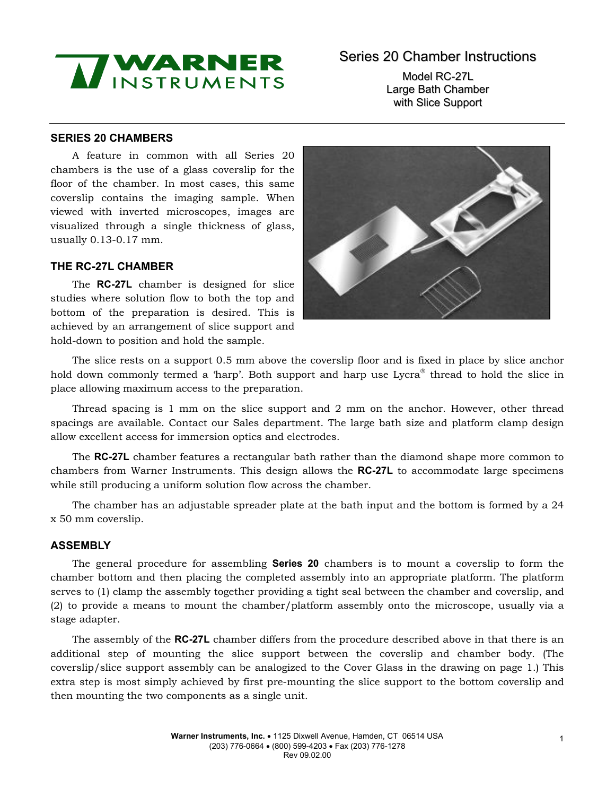# MINSTRUMENTS

# Series 20 Chamber Instructions

Model RC-27L Large Bath Chamber with Slice Support

# **SERIES 20 CHAMBERS**

A feature in common with all Series 20 chambers is the use of a glass coverslip for the floor of the chamber. In most cases, this same coverslip contains the imaging sample. When viewed with inverted microscopes, images are visualized through a single thickness of glass, usually 0.13-0.17 mm.

# **THE RC-27L CHAMBER**

The **RC-27L** chamber is designed for slice studies where solution flow to both the top and bottom of the preparation is desired. This is achieved by an arrangement of slice support and hold-down to position and hold the sample.



The slice rests on a support 0.5 mm above the coverslip floor and is fixed in place by slice anchor hold down commonly termed a 'harp'. Both support and harp use Lycra<sup>®</sup> thread to hold the slice in place allowing maximum access to the preparation.

Thread spacing is 1 mm on the slice support and 2 mm on the anchor. However, other thread spacings are available. Contact our Sales department. The large bath size and platform clamp design allow excellent access for immersion optics and electrodes.

The **RC-27L** chamber features a rectangular bath rather than the diamond shape more common to chambers from Warner Instruments. This design allows the **RC-27L** to accommodate large specimens while still producing a uniform solution flow across the chamber.

The chamber has an adjustable spreader plate at the bath input and the bottom is formed by a 24 x 50 mm coverslip.

### **ASSEMBLY**

The general procedure for assembling **Series 20** chambers is to mount a coverslip to form the chamber bottom and then placing the completed assembly into an appropriate platform. The platform serves to (1) clamp the assembly together providing a tight seal between the chamber and coverslip, and (2) to provide a means to mount the chamber/platform assembly onto the microscope, usually via a stage adapter.

The assembly of the **RC-27L** chamber differs from the procedure described above in that there is an additional step of mounting the slice support between the coverslip and chamber body. (The coverslip/slice support assembly can be analogized to the Cover Glass in the drawing on page 1.) This extra step is most simply achieved by first pre-mounting the slice support to the bottom coverslip and then mounting the two components as a single unit.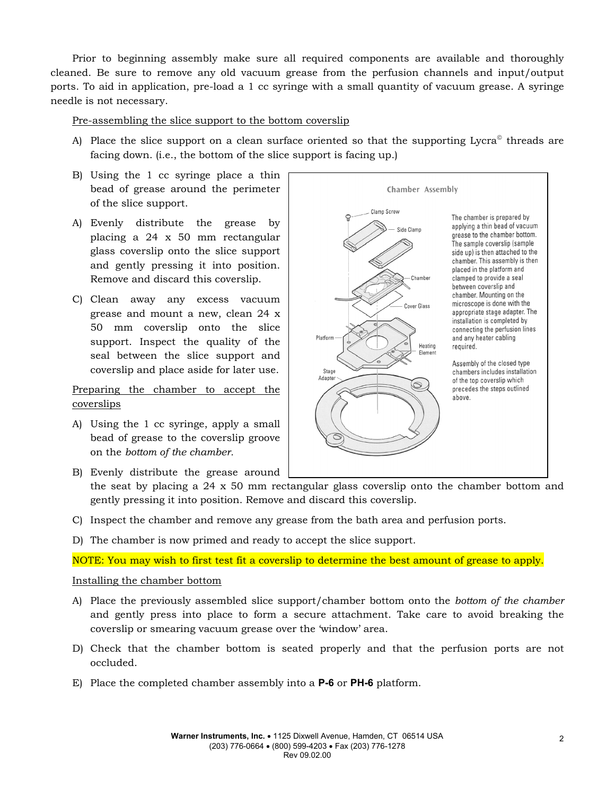Prior to beginning assembly make sure all required components are available and thoroughly cleaned. Be sure to remove any old vacuum grease from the perfusion channels and input/output ports. To aid in application, pre-load a 1 cc syringe with a small quantity of vacuum grease. A syringe needle is not necessary.

# Pre-assembling the slice support to the bottom coverslip

A) Place the slice support on a clean surface oriented so that the supporting  $Lycra^{\circ}$  threads are facing down. (i.e., the bottom of the slice support is facing up.)

Chamber Assembly

Chamher

Cover Glass

 $\circledcirc$ 

Heating

Side Clamp

The chamber is prepared by applying a thin bead of vacuum

clamped to provide a seal between coverslip and chamber. Mounting on the microscope is done with the

appropriate stage adapter. The installation is completed by connecting the perfusion lines

and any heater cabling

Assembly of the closed type

of the top coverslip which

precedes the steps outlined

chambers includes installation

required.

above.

grease to the chamber bottom. The sample coverslip (sample side up) is then attached to the chamber. This assembly is then placed in the platform and

Clamn Screw

- B) Using the 1 cc syringe place a thin bead of grease around the perimeter of the slice support.
- A) Evenly distribute the grease by placing a 24 x 50 mm rectangular glass coverslip onto the slice support and gently pressing it into position. Remove and discard this coverslip.
- C) Clean away any excess vacuum grease and mount a new, clean 24 x 50 mm coverslip onto the slice support. Inspect the quality of the seal between the slice support and coverslip and place aside for later use.

# Preparing the chamber to accept the coverslips

A) Using the 1 cc syringe, apply a small bead of grease to the coverslip groove on the *bottom of the chamber.*

B) Evenly distribute the grease around

the seat by placing a  $24 \times 50$  mm rectangular glass coversily onto the chamber bottom and gently pressing it into position. Remove and discard this coverslip.

Platform

Stage

Adapter

- C) Inspect the chamber and remove any grease from the bath area and perfusion ports.
- D) The chamber is now primed and ready to accept the slice support.

NOTE: You may wish to first test fit a coverslip to determine the best amount of grease to apply.

### Installing the chamber bottom

- A) Place the previously assembled slice support/chamber bottom onto the *bottom of the chamber*  and gently press into place to form a secure attachment. Take care to avoid breaking the coverslip or smearing vacuum grease over the 'window' area.
- D) Check that the chamber bottom is seated properly and that the perfusion ports are not occluded.
- E) Place the completed chamber assembly into a **P-6** or **PH-6** platform.

2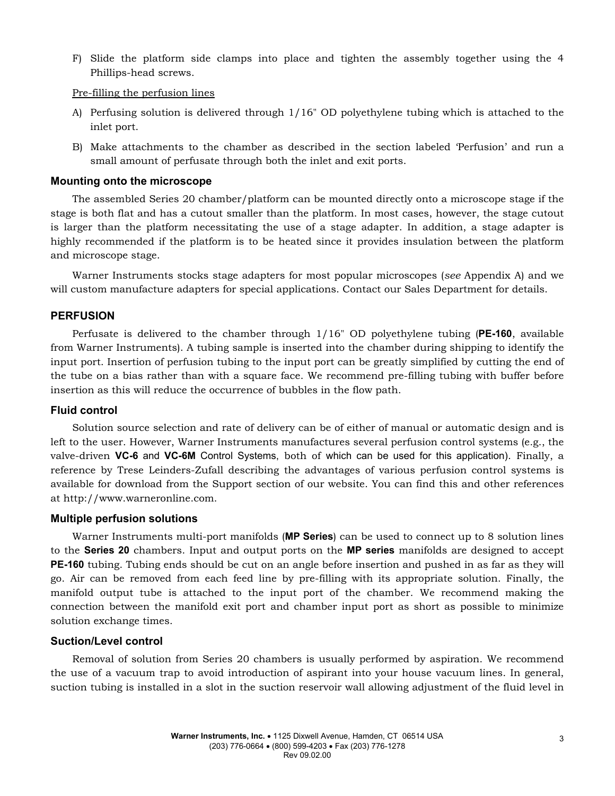F) Slide the platform side clamps into place and tighten the assembly together using the 4 Phillips-head screws.

Pre-filling the perfusion lines

- A) Perfusing solution is delivered through 1/16" OD polyethylene tubing which is attached to the inlet port.
- B) Make attachments to the chamber as described in the section labeled 'Perfusion' and run a small amount of perfusate through both the inlet and exit ports.

#### **Mounting onto the microscope**

The assembled Series 20 chamber/platform can be mounted directly onto a microscope stage if the stage is both flat and has a cutout smaller than the platform. In most cases, however, the stage cutout is larger than the platform necessitating the use of a stage adapter. In addition, a stage adapter is highly recommended if the platform is to be heated since it provides insulation between the platform and microscope stage.

Warner Instruments stocks stage adapters for most popular microscopes (*see* Appendix A) and we will custom manufacture adapters for special applications. Contact our Sales Department for details.

### **PERFUSION**

Perfusate is delivered to the chamber through 1/16" OD polyethylene tubing (**PE-160**, available from Warner Instruments). A tubing sample is inserted into the chamber during shipping to identify the input port. Insertion of perfusion tubing to the input port can be greatly simplified by cutting the end of the tube on a bias rather than with a square face. We recommend pre-filling tubing with buffer before insertion as this will reduce the occurrence of bubbles in the flow path.

#### **Fluid control**

Solution source selection and rate of delivery can be of either of manual or automatic design and is left to the user. However, Warner Instruments manufactures several perfusion control systems (e.g., the valve-driven **VC-6** and **VC-6M** Control Systems, both of which can be used for this application). Finally, a reference by Trese Leinders-Zufall describing the advantages of various perfusion control systems is available for download from the Support section of our website. You can find this and other references at http://www.warneronline.com.

#### **Multiple perfusion solutions**

Warner Instruments multi-port manifolds (**MP Series**) can be used to connect up to 8 solution lines to the **Series 20** chambers. Input and output ports on the **MP series** manifolds are designed to accept **PE-160** tubing. Tubing ends should be cut on an angle before insertion and pushed in as far as they will go. Air can be removed from each feed line by pre-filling with its appropriate solution. Finally, the manifold output tube is attached to the input port of the chamber. We recommend making the connection between the manifold exit port and chamber input port as short as possible to minimize solution exchange times.

### **Suction/Level control**

Removal of solution from Series 20 chambers is usually performed by aspiration. We recommend the use of a vacuum trap to avoid introduction of aspirant into your house vacuum lines. In general, suction tubing is installed in a slot in the suction reservoir wall allowing adjustment of the fluid level in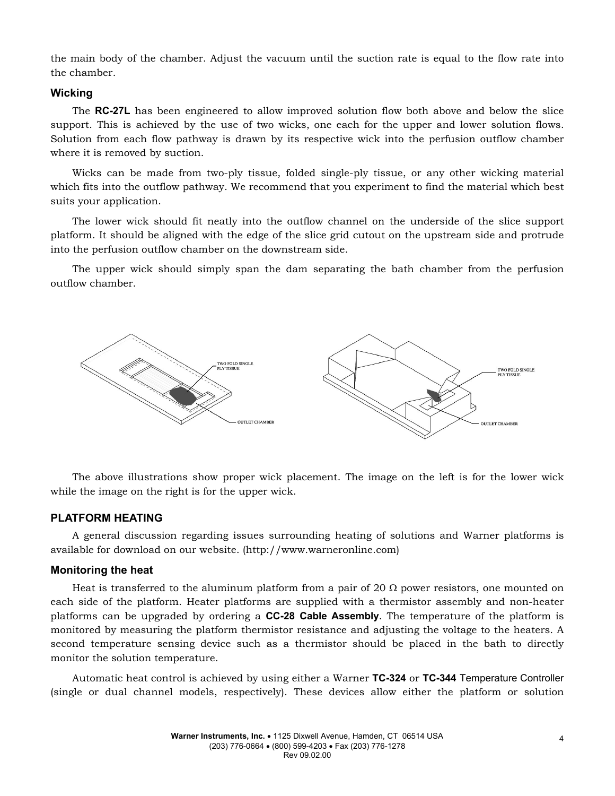the main body of the chamber. Adjust the vacuum until the suction rate is equal to the flow rate into the chamber.

#### **Wicking**

The **RC-27L** has been engineered to allow improved solution flow both above and below the slice support. This is achieved by the use of two wicks, one each for the upper and lower solution flows. Solution from each flow pathway is drawn by its respective wick into the perfusion outflow chamber where it is removed by suction.

Wicks can be made from two-ply tissue, folded single-ply tissue, or any other wicking material which fits into the outflow pathway. We recommend that you experiment to find the material which best suits your application.

The lower wick should fit neatly into the outflow channel on the underside of the slice support platform. It should be aligned with the edge of the slice grid cutout on the upstream side and protrude into the perfusion outflow chamber on the downstream side.

The upper wick should simply span the dam separating the bath chamber from the perfusion outflow chamber.



The above illustrations show proper wick placement. The image on the left is for the lower wick while the image on the right is for the upper wick.

#### **PLATFORM HEATING**

A general discussion regarding issues surrounding heating of solutions and Warner platforms is available for download on our website. (http://www.warneronline.com)

#### **Monitoring the heat**

Heat is transferred to the aluminum platform from a pair of 20  $\Omega$  power resistors, one mounted on each side of the platform. Heater platforms are supplied with a thermistor assembly and non-heater platforms can be upgraded by ordering a **CC-28 Cable Assembly**. The temperature of the platform is monitored by measuring the platform thermistor resistance and adjusting the voltage to the heaters. A second temperature sensing device such as a thermistor should be placed in the bath to directly monitor the solution temperature.

Automatic heat control is achieved by using either a Warner **TC-324** or **TC-344** Temperature Controller (single or dual channel models, respectively). These devices allow either the platform or solution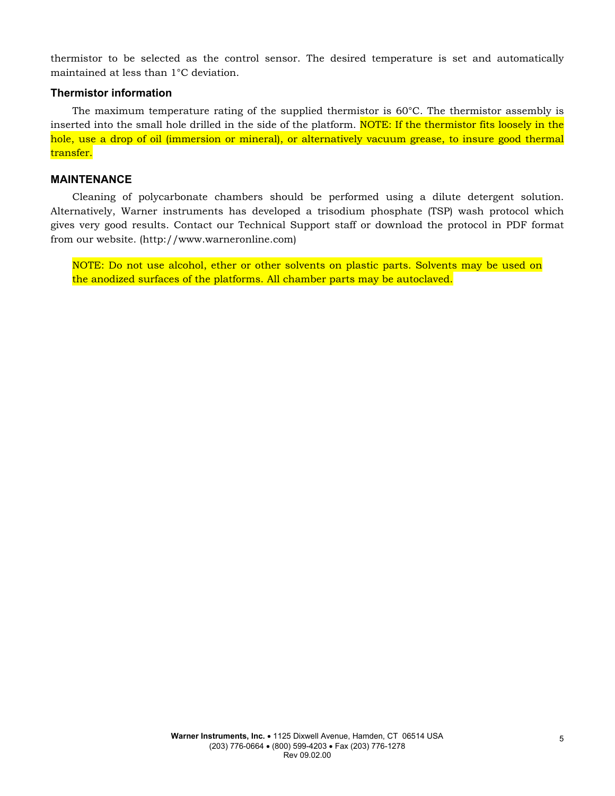thermistor to be selected as the control sensor. The desired temperature is set and automatically maintained at less than 1°C deviation.

#### **Thermistor information**

The maximum temperature rating of the supplied thermistor is 60°C. The thermistor assembly is inserted into the small hole drilled in the side of the platform. NOTE: If the thermistor fits loosely in the hole, use a drop of oil (immersion or mineral), or alternatively vacuum grease, to insure good thermal transfer.

#### **MAINTENANCE**

Cleaning of polycarbonate chambers should be performed using a dilute detergent solution. Alternatively, Warner instruments has developed a trisodium phosphate (TSP) wash protocol which gives very good results. Contact our Technical Support staff or download the protocol in PDF format from our website. (http://www.warneronline.com)

NOTE: Do not use alcohol, ether or other solvents on plastic parts. Solvents may be used on the anodized surfaces of the platforms. All chamber parts may be autoclaved.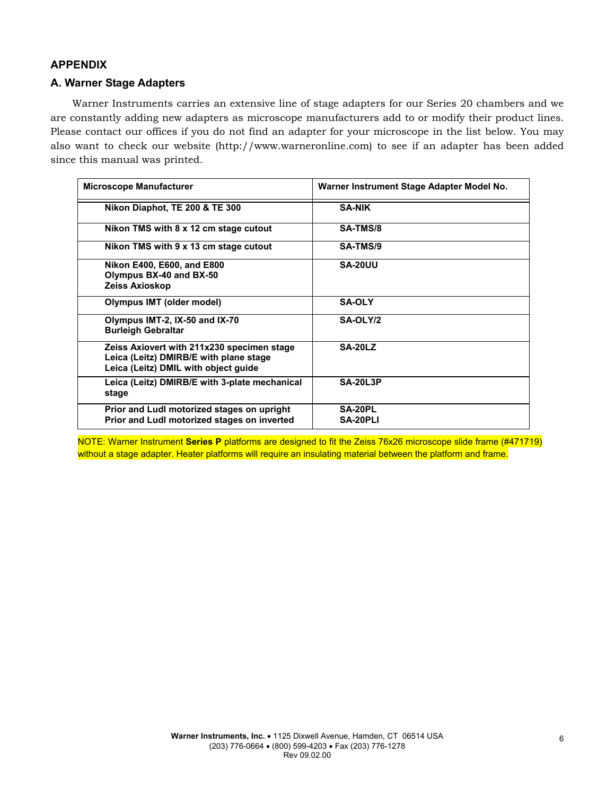# **APPENDIX**

# **A. Warner Stage Adapters**

Warner Instruments carries an extensive line of stage adapters for our Series 20 chambers and we are constantly adding new adapters as microscope manufacturers add to or modify their product lines. Please contact our offices if you do not find an adapter for your microscope in the list below. You may also want to check our website (http://www.warneronline.com) to see if an adapter has been added since this manual was printed.

| <b>Microscope Manufacturer</b>                                                                                               | Warner Instrument Stage Adapter Model No. |  |
|------------------------------------------------------------------------------------------------------------------------------|-------------------------------------------|--|
| Nikon Diaphot, TE 200 & TE 300                                                                                               | <b>SA-NIK</b>                             |  |
| Nikon TMS with 8 x 12 cm stage cutout                                                                                        | <b>SA-TMS/8</b>                           |  |
| Nikon TMS with 9 x 13 cm stage cutout                                                                                        | SA-TMS/9                                  |  |
| Nikon E400, E600, and E800<br>Olympus BX-40 and BX-50<br>Zeiss Axioskop                                                      | <b>SA-20UU</b>                            |  |
| Olympus IMT (older model)                                                                                                    | <b>SA-OLY</b>                             |  |
| Olympus IMT-2, IX-50 and IX-70<br><b>Burleigh Gebraltar</b>                                                                  | SA-OLY/2                                  |  |
| Zeiss Axiovert with 211x230 specimen stage<br>Leica (Leitz) DMIRB/E with plane stage<br>Leica (Leitz) DMIL with object quide | <b>SA-20LZ</b>                            |  |
| Leica (Leitz) DMIRB/E with 3-plate mechanical<br>stage                                                                       | <b>SA-20L3P</b>                           |  |
| Prior and Ludl motorized stages on upright<br>Prior and Ludl motorized stages on inverted                                    | SA-20PL<br><b>SA-20PLI</b>                |  |

NOTE: Warner Instrument **Series P** platforms are designed to fit the Zeiss 76x26 microscope slide frame (#471719) without a stage adapter. Heater platforms will require an insulating material between the platform and frame.